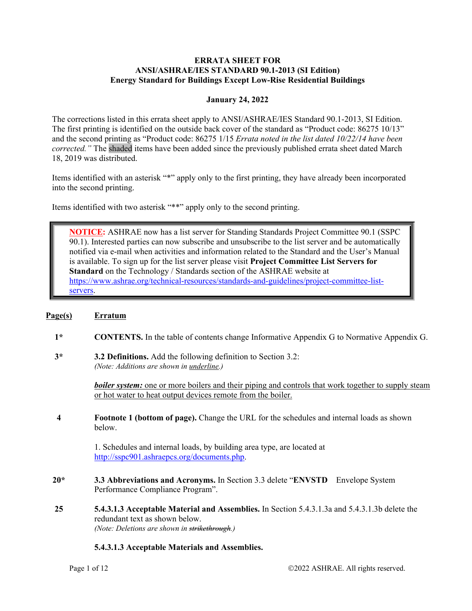#### **ERRATA SHEET FOR ANSI/ASHRAE/IES STANDARD 90.1-2013 (SI Edition) Energy Standard for Buildings Except Low-Rise Residential Buildings**

## **January 24, 2022**

The corrections listed in this errata sheet apply to ANSI/ASHRAE/IES Standard 90.1-2013, SI Edition. The first printing is identified on the outside back cover of the standard as "Product code: 86275 10/13" and the second printing as "Product code: 86275 1/15 *Errata noted in the list dated 10/22/14 have been corrected."* The shaded items have been added since the previously published errata sheet dated March 18, 2019 was distributed.

Items identified with an asterisk "\*" apply only to the first printing, they have already been incorporated into the second printing.

Items identified with two asterisk "\*\*" apply only to the second printing.

**NOTICE:** ASHRAE now has a list server for Standing Standards Project Committee 90.1 (SSPC 90.1). Interested parties can now subscribe and unsubscribe to the list server and be automatically notified via e-mail when activities and information related to the Standard and the User's Manual is available. To sign up for the list server please visit **Project Committee List Servers for Standard** on the Technology / Standards section of the ASHRAE website at https://www.ashrae.org/technical-resources/standards-and-guidelines/project-committee-listservers.

#### **Page(s) Erratum**

- **1\* CONTENTS.** In the table of contents change Informative Appendix G to Normative Appendix G.
- **3\* 3.2 Definitions.** Add the following definition to Section 3.2: *(Note: Additions are shown in underline.)*

*boiler system:* one or more boilers and their piping and controls that work together to supply steam or hot water to heat output devices remote from the boiler.

**4 Footnote 1 (bottom of page).** Change the URL for the schedules and internal loads as shown below.

> 1. Schedules and internal loads, by building area type, are located at http://sspc901.ashraepcs.org/documents.php.

- **20\* 3.3 Abbreviations and Acronyms.** In Section 3.3 delete "**ENVSTD** Envelope System Performance Compliance Program".
- **25 5.4.3.1.3 Acceptable Material and Assemblies.** In Section 5.4.3.1.3a and 5.4.3.1.3b delete the redundant text as shown below. *(Note: Deletions are shown in strikethrough.)*

#### **5.4.3.1.3 Acceptable Materials and Assemblies.**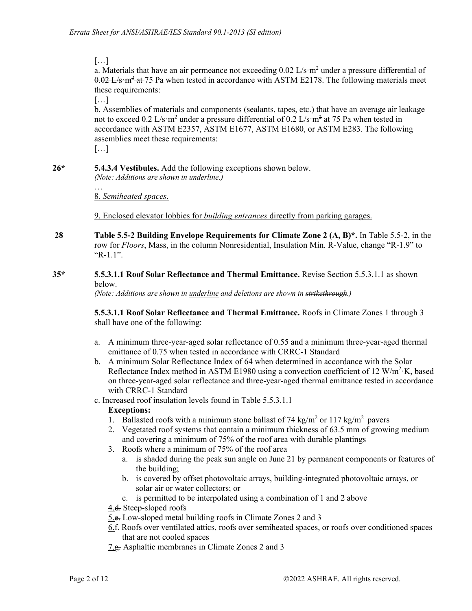[…]

a. Materials that have an air permeance not exceeding  $0.02 \text{ L/s} \cdot \text{m}^2$  under a pressure differential of 0.02 L/s·m<sup>2</sup> at 75 Pa when tested in accordance with ASTM E2178. The following materials meet these requirements:

 $[\dots]$ 

b. Assemblies of materials and components (sealants, tapes, etc.) that have an average air leakage not to exceed 0.2 L/s⋅m<sup>2</sup> under a pressure differential of  $0.2$  L/s⋅m<sup>2</sup>⋅at⋅75 Pa when tested in accordance with ASTM E2357, ASTM E1677, ASTM E1680, or ASTM E283. The following assemblies meet these requirements:

[…]

**26\* 5.4.3.4 Vestibules.** Add the following exceptions shown below.

*(Note: Additions are shown in underline.)* …

8. *Semiheated spaces*.

9. Enclosed elevator lobbies for *building entrances* directly from parking garages.

- **28 Table 5.5-2 Building Envelope Requirements for Climate Zone 2 (A, B)\*.** In Table 5.5-2, in the row for *Floors*, Mass, in the column Nonresidential, Insulation Min. R-Value, change "R-1.9" to "R-1.1".
- **35\* 5.5.3.1.1 Roof Solar Reflectance and Thermal Emittance.** Revise Section 5.5.3.1.1 as shown below.

*(Note: Additions are shown in underline and deletions are shown in strikethrough.)* 

**5.5.3.1.1 Roof Solar Reflectance and Thermal Emittance.** Roofs in Climate Zones 1 through 3 shall have one of the following:

- a. A minimum three-year-aged solar reflectance of 0.55 and a minimum three-year-aged thermal emittance of 0.75 when tested in accordance with CRRC-1 Standard
- b. A minimum Solar Reflectance Index of 64 when determined in accordance with the Solar Reflectance Index method in ASTM E1980 using a convection coefficient of 12  $W/m^2$  K, based on three-year-aged solar reflectance and three-year-aged thermal emittance tested in accordance with CRRC-1 Standard
- c. Increased roof insulation levels found in Table 5.5.3.1.1

## **Exceptions:**

- 1. Ballasted roofs with a minimum stone ballast of 74 kg/m<sup>2</sup> or 117 kg/m<sup>2</sup> pavers
- 2. Vegetated roof systems that contain a minimum thickness of 63.5 mm of growing medium and covering a minimum of 75% of the roof area with durable plantings
- 3. Roofs where a minimum of 75% of the roof area
	- a. is shaded during the peak sun angle on June 21 by permanent components or features of the building;
	- b. is covered by offset photovoltaic arrays, building-integrated photovoltaic arrays, or solar air or water collectors; or
	- c. is permitted to be interpolated using a combination of 1 and 2 above
- 4.<del>d.</del> Steep-sloped roofs
- 5.e. Low-sloped metal building roofs in Climate Zones 2 and 3
- 6.f. Roofs over ventilated attics, roofs over semiheated spaces, or roofs over conditioned spaces that are not cooled spaces
- 7.g. Asphaltic membranes in Climate Zones 2 and 3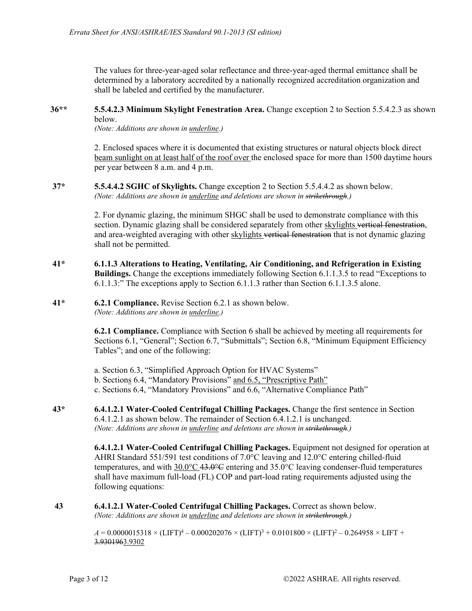The values for three-year-aged solar reflectance and three-year-aged thermal emittance shall be determined by a laboratory accredited by a nationally recognized accreditation organization and shall be labeled and certified by the manufacturer.

#### **36\*\* 5.5.4.2.3 Minimum Skylight Fenestration Area.** Change exception 2 to Section 5.5.4.2.3 as shown below.

*(Note: Additions are shown in underline.)*

2. Enclosed spaces where it is documented that existing structures or natural objects block direct beam sunlight on at least half of the roof over the enclosed space for more than 1500 daytime hours per year between 8 a.m. and 4 p.m.

**37\* 5.5.4.4.2 SGHC of Skylights.** Change exception 2 to Section 5.5.4.4.2 as shown below. *(Note: Additions are shown in underline and deletions are shown in strikethrough.)*

> 2. For dynamic glazing, the minimum SHGC shall be used to demonstrate compliance with this section. Dynamic glazing shall be considered separately from other skylights vertical fenestration, and area-weighted averaging with other skylights vertical fenestration that is not dynamic glazing shall not be permitted.

**41\* 6.1.1.3 Alterations to Heating, Ventilating, Air Conditioning, and Refrigeration in Existing Buildings.** Change the exceptions immediately following Section 6.1.1.3.5 to read "Exceptions to 6.1.1.3:" The exceptions apply to Section 6.1.1.3 rather than Section 6.1.1.3.5 alone.

#### **41\* 6.2.1 Compliance.** Revise Section 6.2.1 as shown below. *(Note: Additions are shown in underline.)*

**6.2.1 Compliance.** Compliance with Section 6 shall be achieved by meeting all requirements for Sections 6.1, "General"; Section 6.7, "Submittals"; Section 6.8, "Minimum Equipment Efficiency Tables"; and one of the following:

a. Section 6.3, "Simplified Approach Option for HVAC Systems" b. Sections 6.4, "Mandatory Provisions" and 6.5, "Prescriptive Path" c. Sections 6.4, "Mandatory Provisions" and 6.6, "Alternative Compliance Path"

**43\* 6.4.1.2.1 Water-Cooled Centrifugal Chilling Packages.** Change the first sentence in Section 6.4.1.2.1 as shown below. The remainder of Section 6.4.1.2.1 is unchanged. *(Note: Additions are shown in underline and deletions are shown in strikethrough.)*

> **6.4.1.2.1 Water-Cooled Centrifugal Chilling Packages.** Equipment not designed for operation at AHRI Standard 551/591 test conditions of 7.0°C leaving and 12.0°C entering chilled-fluid temperatures, and with  $30.0^{\circ}$ C 43.0°C entering and 35.0°C leaving condenser-fluid temperatures shall have maximum full-load (FL) COP and part-load rating requirements adjusted using the following equations:

**43 6.4.1.2.1 Water-Cooled Centrifugal Chilling Packages.** Correct as shown below. *(Note: Additions are shown in underline and deletions are shown in strikethrough.)*

> $A = 0.0000015318 \times ({\rm LIFT})^{4} - 0.000202076 \times ({\rm LIFT})^{3} + 0.0101800 \times ({\rm LIFT})^{2} - 0.264958 \times {\rm LIFT} +$ 3.9301963.9302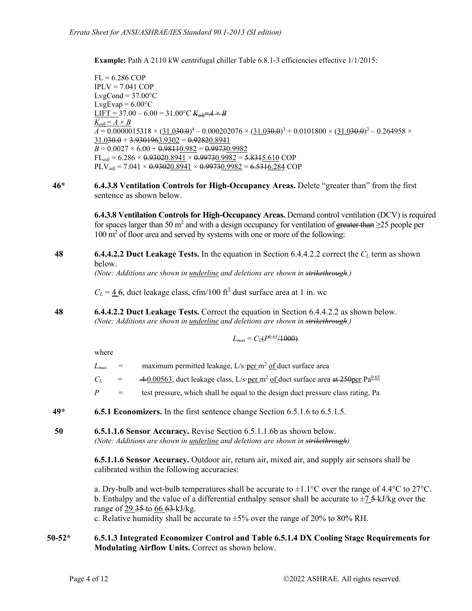Example: Path A 2110 kW centrifugal chiller Table 6.8.1-3 efficiencies effective 1/1/2015:

 $FL = 6.286$  COP  $IPLV = 7.041$  COP  $LvgCond = 37.00^{\circ}C$ LvgEvap =  $6.00$ °C  $LIFT = 37.00 - 6.00 = 31.00^{\circ}C$   $K_{\text{add}} = A \times B$  $K_{adi} = A \times B$  $A = 0.0000015318 \times (\underline{31.030.0})^4 - 0.000202076 \times (\underline{31.030.0})^3 + 0.0101800 \times (\underline{31.030.0})^2 - 0.264958 \times$  $31.030.0 + 3.9301963.9302 = 0.92820.8941$  $B = 0.0027 \times 6.00 + 0.98110.982 = 0.99730.9982$  $FL_{adi} = 6.286 \times 0.93020.8941 \times 0.99730.9982 = 5.8315.610 \text{ COP}$  $PLV_{adi} = 7.041 \times 0.93020.8941 \times 0.99730.9982 = 6.5316.284 \text{ COP}$ 

**46\* 6.4.3.8 Ventilation Controls for High-Occupancy Areas.** Delete "greater than" from the first sentence as shown below.

> **6.4.3.8 Ventilation Controls for High-Occupancy Areas.** Demand control ventilation (DCV) is required for spaces larger than 50 m<sup>2</sup> and with a design occupancy for ventilation of greater than  $\geq$ 25 people per 100 m<sup>2</sup> of floor area and served by systems with one or more of the following:

**48 6.4.4.2.2 Duct Leakage Tests.** In the equation in Section 6.4.4.2.2 correct the *CL* term as shown below.

*(Note: Additions are shown in underline and deletions are shown in strikethrough.)*

 $C_L = 4.6$ , duct leakage class, cfm/100 ft<sup>2</sup> dust surface area at 1 in. wc

**48 6.4.4.2.2 Duct Leakage Tests.** Correct the equation in Section 6.4.4.2.2 as shown below. *(Note: Additions are shown in underline and deletions are shown in strikethrough.)* 

$$
L_{max} = C_L(P^{0.65}/1000)
$$

where

- $L_{max}$  = maximum permitted leakage,  $L/s$  per m<sup>2</sup> of duct surface area
- $C_L$  =  $\frac{40.00563}{40.00563}$ , duct leakage class, L/s·per m<sup>2</sup> of duct surface area at 250 per Pa<sup>0.65</sup>
- $P =$  test pressure, which shall be equal to the design duct pressure class rating, Pa
- **49\* 6.5.1 Economizers.** In the first sentence change Section 6.5.1.6 to 6.5.1.5.
- **50 6.5.1.1.6 Sensor Accuracy.** Revise Section 6.5.1.1.6b as shown below. *(Note: Additions are shown in underline and deletions are shown in strikethrough)*

**6.5.1.1.6 Sensor Accuracy.** Outdoor air, return air, mixed air, and supply air sensors shall be calibrated within the following accuracies:

a. Dry-bulb and wet-bulb temperatures shall be accurate to  $\pm 1.1^{\circ}$ C over the range of 4.4<sup>o</sup>C to 27<sup>o</sup>C. b. Enthalpy and the value of a differential enthalpy sensor shall be accurate to  $\pm$ 7 5 kJ/kg over the range of 29 <del>35</del> to 66 63 kJ/kg.

c. Relative humidity shall be accurate to  $\pm 5\%$  over the range of 20% to 80% RH.

#### **50-52\* 6.5.1.3 Integrated Economizer Control and Table 6.5.1.4 DX Cooling Stage Requirements for Modulating Airflow Units.** Correct as shown below.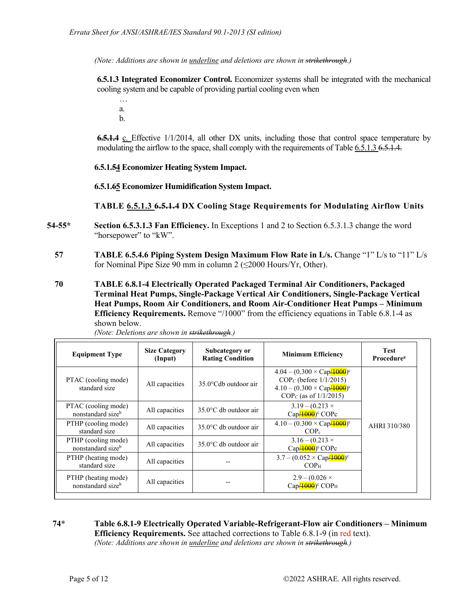*(Note: Additions are shown in underline and deletions are shown in strikethrough.)*

**6.5.1.3 Integrated Economizer Control.** Economizer systems shall be integrated with the mechanical cooling system and be capable of providing partial cooling even when

… a. b.

**6.5.1.4** c. Effective 1/1/2014, all other DX units, including those that control space temperature by modulating the airflow to the space, shall comply with the requirements of Table 6.5.1.3 6.5.1.4.

## **6.5.1.54 Economizer Heating System Impact.**

**6.5.1.65 Economizer Humidification System Impact.** 

**TABLE 6.5.1.3 6.5.1.4 DX Cooling Stage Requirements for Modulating Airflow Units** 

- **54-55\* Section 6.5.3.1.3 Fan Efficiency.** In Exceptions 1 and 2 to Section 6.5.3.1.3 change the word "horsepower" to "kW".
	- **57** TABLE 6.5.4.6 Piping System Design Maximum Flow Rate in L/s. Change "1" L/s to "11" L/s for Nominal Pipe Size 90 mm in column 2 (≤2000 Hours/Yr, Other).
	- **70 TABLE 6.8.1-4 Electrically Operated Packaged Terminal Air Conditioners, Packaged Terminal Heat Pumps, Single-Package Vertical Air Conditioners, Single-Package Vertical Heat Pumps, Room Air Conditioners, and Room Air-Conditioner Heat Pumps – Minimum Efficiency Requirements.** Remove "/1000" from the efficiency equations in Table 6.8.1-4 as shown below.

| <b>Equipment Type</b>                    | <b>Size Category</b><br>(Input) | Subcategory or<br><b>Rating Condition</b> | <b>Minimum Efficiency</b>                                                                                                                 | <b>Test</b><br><b>Procedure</b> <sup>a</sup> |
|------------------------------------------|---------------------------------|-------------------------------------------|-------------------------------------------------------------------------------------------------------------------------------------------|----------------------------------------------|
| PTAC (cooling mode)<br>standard size     | All capacities                  | $35.0^{\circ}$ Cdb outdoor air            | $4.04 - (0.300 \times Cap/4000)^c$<br>$COPC$ (before 1/1/2015)<br>$4.10 - (0.300 \times \text{Cap}4000)^c$<br>$COP_C$ (as of $1/1/2015$ ) |                                              |
| PTAC (cooling mode)<br>nonstandard sizeb | All capacities                  | $35.0$ °C db outdoor air                  | $3.19 - (0.213 \times$<br>$Cap/1000$ <sup>c</sup> COPc                                                                                    |                                              |
| PTHP (cooling mode)<br>standard size     | All capacities                  | $35.0^{\circ}$ C db outdoor air           | $4.10 - (0.300 \times \text{Cap} / 4000)$ <sup>c</sup><br>COP <sub>c</sub>                                                                | AHRI 310/380                                 |
| PTHP (cooling mode)<br>nonstandard sizeb | All capacities                  | $35.0^{\circ}$ C db outdoor air           | $3.16 - (0.213 \times$<br>$Cap/1000$ <sup>c</sup> COPc                                                                                    |                                              |
| PTHP (heating mode)<br>standard size     | All capacities                  |                                           | $3.7 - (0.052 \times \text{Cap}4000)^c$<br>COP <sub>H</sub>                                                                               |                                              |
| PTHP (heating mode)<br>nonstandard sizeb | All capacities                  |                                           | $2.9 - (0.026 \times$<br>$Cap/1000$ <sup>c</sup> COP <sub>H</sub>                                                                         |                                              |

*(Note: Deletions are shown in strikethrough.)* 

**74\* Table 6.8.1-9 Electrically Operated Variable-Refrigerant-Flow air Conditioners – Minimum Efficiency Requirements.** See attached corrections to Table 6.8.1-9 (in red text). *(Note: Additions are shown in underline and deletions are shown in strikethrough.)*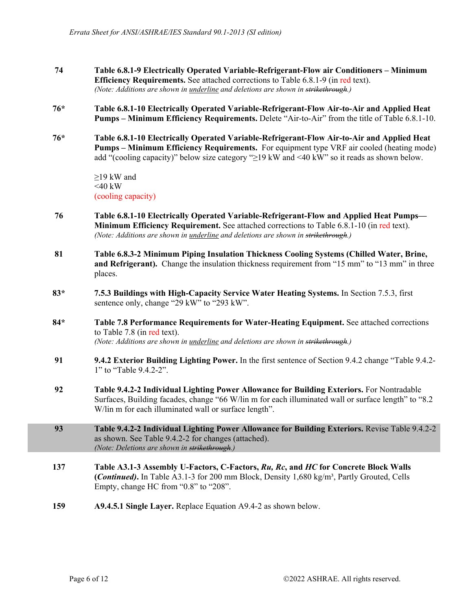- **74 Table 6.8.1-9 Electrically Operated Variable-Refrigerant-Flow air Conditioners Minimum Efficiency Requirements.** See attached corrections to Table 6.8.1-9 (in red text). *(Note: Additions are shown in underline and deletions are shown in strikethrough.)*
- **76\* Table 6.8.1-10 Electrically Operated Variable-Refrigerant-Flow Air-to-Air and Applied Heat Pumps – Minimum Efficiency Requirements.** Delete "Air-to-Air" from the title of Table 6.8.1-10.
- **76\* Table 6.8.1-10 Electrically Operated Variable-Refrigerant-Flow Air-to-Air and Applied Heat Pumps – Minimum Efficiency Requirements.** For equipment type VRF air cooled (heating mode) add "(cooling capacity)" below size category "≥19 kW and <40 kW" so it reads as shown below.

≥19 kW and  $<40$  kW (cooling capacity)

- **76 Table 6.8.1-10 Electrically Operated Variable-Refrigerant-Flow and Applied Heat Pumps— Minimum Efficiency Requirement.** See attached corrections to Table 6.8.1-10 (in red text). *(Note: Additions are shown in underline and deletions are shown in strikethrough.)*
- **81 Table 6.8.3-2 Minimum Piping Insulation Thickness Cooling Systems (Chilled Water, Brine, and Refrigerant).** Change the insulation thickness requirement from "15 mm" to "13 mm" in three places.
- **83\* 7.5.3 Buildings with High-Capacity Service Water Heating Systems.** In Section 7.5.3, first sentence only, change "29 kW" to "293 kW".
- **84\* Table 7.8 Performance Requirements for Water-Heating Equipment.** See attached corrections to Table 7.8 (in red text). *(Note: Additions are shown in underline and deletions are shown in strikethrough.)*
- **91 9.4.2 Exterior Building Lighting Power.** In the first sentence of Section 9.4.2 change "Table 9.4.2- 1" to "Table 9.4.2-2".
- **92 Table 9.4.2-2 Individual Lighting Power Allowance for Building Exteriors.** For Nontradable Surfaces, Building facades, change "66 W/lin m for each illuminated wall or surface length" to "8.2 W/lin m for each illuminated wall or surface length".
- **93 Table 9.4.2-2 Individual Lighting Power Allowance for Building Exteriors.** Revise Table 9.4.2-2 as shown. See Table 9.4.2-2 for changes (attached). *(Note: Deletions are shown in strikethrough.)*
- **137 Table A3.1-3 Assembly U-Factors, C-Factors,** *Ru, Rc***, and** *HC* **for Concrete Block Walls (***Continued)***.** In Table A3.1-3 for 200 mm Block, Density 1,680 kg/m³, Partly Grouted, Cells Empty, change HC from "0.8" to "208".
- **159 A9.4.5.1 Single Layer.** Replace Equation A9.4-2 as shown below.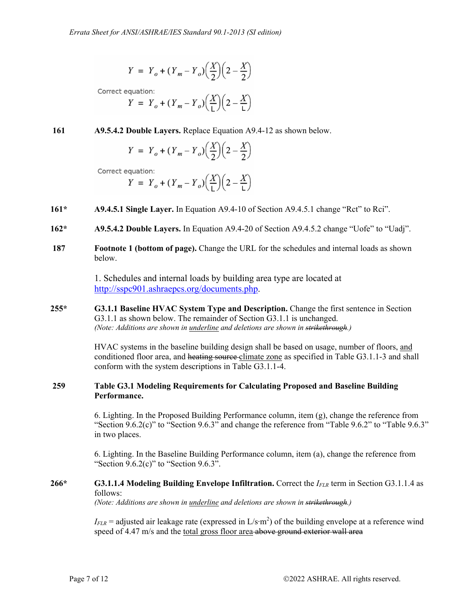$$
Y = Y_o + (Y_m - Y_o) \left(\frac{X}{2}\right) \left(2 - \frac{X}{2}\right)
$$

Correct equation:

$$
Y = Y_o + (Y_m - Y_o) \left(\frac{X}{L}\right) \left(2 - \frac{X}{L}\right)
$$

**161 A9.5.4.2 Double Layers.** Replace Equation A9.4-12 as shown below.

$$
Y = Y_o + (Y_m - Y_o) \left(\frac{X}{2}\right) \left(2 - \frac{X}{2}\right)
$$

Correct equation:

$$
Y = Y_o + (Y_m - Y_o) \left(\frac{X}{L}\right) \left(2 - \frac{X}{L}\right)
$$

- **161\* A9.4.5.1 Single Layer.** In Equation A9.4-10 of Section A9.4.5.1 change "Rct" to Rci".
- **162\* A9.5.4.2 Double Layers.** In Equation A9.4-20 of Section A9.4.5.2 change "Uofe" to "Uadj".
- **187 Footnote 1 (bottom of page).** Change the URL for the schedules and internal loads as shown below.

1. Schedules and internal loads by building area type are located at http://sspc901.ashraepcs.org/documents.php.

**255\* G3.1.1 Baseline HVAC System Type and Description.** Change the first sentence in Section G3.1.1 as shown below. The remainder of Section G3.1.1 is unchanged. *(Note: Additions are shown in underline and deletions are shown in strikethrough.)*

> HVAC systems in the baseline building design shall be based on usage, number of floors, and conditioned floor area, and heating source climate zone as specified in Table G3.1.1-3 and shall conform with the system descriptions in Table G3.1.1-4.

## **259 Table G3.1 Modeling Requirements for Calculating Proposed and Baseline Building Performance.**

6. Lighting. In the Proposed Building Performance column, item (g), change the reference from "Section 9.6.2(c)" to "Section 9.6.3" and change the reference from "Table 9.6.2" to "Table 9.6.3" in two places.

6. Lighting. In the Baseline Building Performance column, item (a), change the reference from "Section 9.6.2(c)" to "Section 9.6.3".

## **266\* G3.1.1.4 Modeling Building Envelope Infiltration.** Correct the *IFLR* term in Section G3.1.1.4 as follows:

*(Note: Additions are shown in underline and deletions are shown in strikethrough.)*

*IFLR* = adjusted air leakage rate (expressed in L/s⋅m<sup>2</sup>) of the building envelope at a reference wind speed of 4.47 m/s and the total gross floor area above ground exterior wall area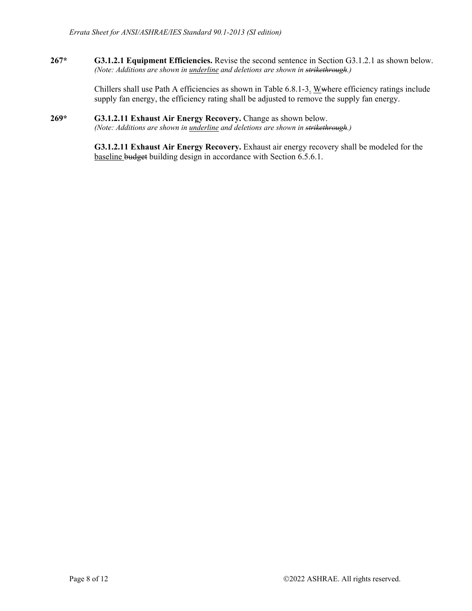**267\* G3.1.2.1 Equipment Efficiencies.** Revise the second sentence in Section G3.1.2.1 as shown below. *(Note: Additions are shown in underline and deletions are shown in strikethrough.)*

> Chillers shall use Path A efficiencies as shown in Table 6.8.1-3. Wwhere efficiency ratings include supply fan energy, the efficiency rating shall be adjusted to remove the supply fan energy.

#### **269\* G3.1.2.11 Exhaust Air Energy Recovery.** Change as shown below. *(Note: Additions are shown in underline and deletions are shown in strikethrough.)*

**G3.1.2.11 Exhaust Air Energy Recovery.** Exhaust air energy recovery shall be modeled for the baseline budget building design in accordance with Section 6.5.6.1.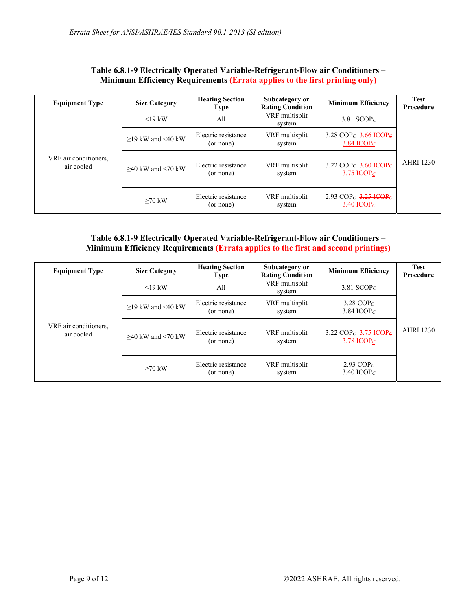| <b>Equipment Type</b>               | <b>Size Category</b>   | <b>Heating Section</b><br><b>Type</b> | Subcategory or<br><b>Rating Condition</b> | <b>Minimum Efficiency</b>                                                            | <b>Test</b><br>Procedure |
|-------------------------------------|------------------------|---------------------------------------|-------------------------------------------|--------------------------------------------------------------------------------------|--------------------------|
| VRF air conditioners,<br>air cooled | $<$ 19 kW              | All                                   | VRF multisplit<br>system                  | 3.81 $SCOPC$                                                                         |                          |
|                                     | $>19$ kW and $<$ 40 kW | Electric resistance<br>(or none)      | VRF multisplit<br>system                  | 3.28 COP <sub>C</sub> 3.66 ICOP <sub>C</sub><br>3.84 ICOP $C$                        | <b>AHRI 1230</b>         |
|                                     | $>40$ kW and $<$ 70 kW | Electric resistance<br>(or none)      | VRF multisplit<br>system                  | 3.22 COP <sub>C</sub> $\frac{3.60 \text{ ICOP}}{2.60 \text{ ICO}}$<br>3.75 ICOP $C$  |                          |
|                                     | $>70$ kW               | Electric resistance<br>(or none)      | VRF multisplit<br>system                  | 2.93 COP <sub>C</sub> $\frac{3.25 \text{ HCOP}}{2.25 \text{ HCOP}}$<br>3.40 ICOP $C$ |                          |

#### **Table 6.8.1-9 Electrically Operated Variable-Refrigerant-Flow air Conditioners – Minimum Efficiency Requirements (Errata applies to the first printing only)**

## **Table 6.8.1-9 Electrically Operated Variable-Refrigerant-Flow air Conditioners – Minimum Efficiency Requirements (Errata applies to the first and second printings)**

| <b>Equipment Type</b>               | <b>Size Category</b>   | <b>Heating Section</b><br><b>Type</b> | Subcategory or<br><b>Rating Condition</b> | <b>Minimum Efficiency</b>                                            | <b>Test</b><br>Procedure |
|-------------------------------------|------------------------|---------------------------------------|-------------------------------------------|----------------------------------------------------------------------|--------------------------|
| VRF air conditioners,<br>air cooled | $<$ 19 kW              | All                                   | VRF multisplit<br>system                  | 3.81 $SCOP_C$                                                        |                          |
|                                     | $>19$ kW and $<$ 40 kW | Electric resistance<br>(or none)      | VRF multisplit<br>system                  | 3.28 COP $c$<br>3.84 ICOP $c$                                        |                          |
|                                     | $>40$ kW and $<$ 70 kW | Electric resistance<br>(or none)      | VRF multisplit<br>system                  | 3.22 COP <sub>C</sub> $\frac{3.75 \text{ ICOP}}{2}$<br>3.78 ICOP $C$ | <b>AHRI 1230</b>         |
|                                     | $>70$ kW               | Electric resistance<br>(or none)      | VRF multisplit<br>system                  | 2.93 $COP_C$<br>3.40 ICOP $c$                                        |                          |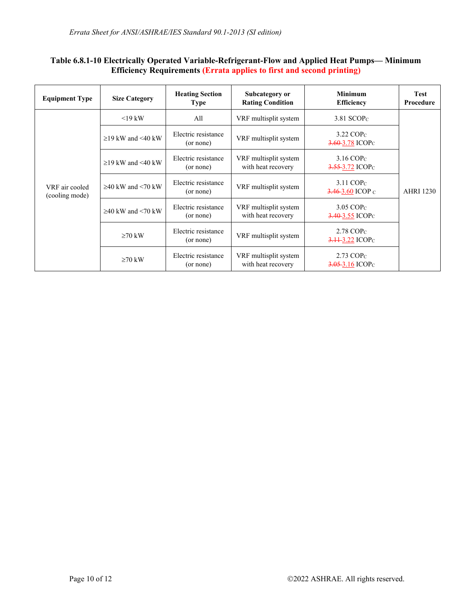## **Table 6.8.1-10 Electrically Operated Variable-Refrigerant-Flow and Applied Heat Pumps— Minimum Efficiency Requirements (Errata applies to first and second printing)**

| <b>Equipment Type</b>            | <b>Size Category</b>    | <b>Heating Section</b><br><b>Type</b> | Subcategory or<br><b>Rating Condition</b>   | <b>Minimum</b><br><b>Efficiency</b>                        | <b>Test</b><br>Procedure |  |
|----------------------------------|-------------------------|---------------------------------------|---------------------------------------------|------------------------------------------------------------|--------------------------|--|
| VRF air cooled<br>(cooling mode) | $19 \text{ kW}$         | All                                   | VRF multisplit system                       | 3.81 $SCOPC$                                               |                          |  |
|                                  | $\geq$ 19 kW and <40 kW | Electric resistance<br>(or none)      | VRF multisplit system                       | $3.22$ COP <sub>c</sub><br>$3.60 - 3.78$ ICOP <sub>C</sub> |                          |  |
|                                  | $\geq$ 19 kW and <40 kW | Electric resistance<br>(or none)      | VRF multisplit system<br>with heat recovery | $3.16$ COP <sub>c</sub><br>$3.55-3.72$ ICOP <sub>C</sub>   |                          |  |
|                                  | $\geq$ 40 kW and <70 kW | Electric resistance<br>(or none)      | VRF multisplit system                       | $3.11$ COP <sub>c</sub><br>$3.46 - 3.60$ ICOP c            | <b>AHRI 1230</b>         |  |
|                                  | $\geq$ 40 kW and <70 kW | Electric resistance<br>(or none)      | VRF multisplit system<br>with heat recovery | $3.05$ COP $c$<br>$3.40 - 3.55$ ICOP <sub>C</sub>          |                          |  |
|                                  | $\geq 70$ kW            | Electric resistance<br>(or none)      | VRF multisplit system                       | $2.78$ COP $c$<br>$3.11 - 3.22$ ICOP <sub>C</sub>          |                          |  |
|                                  | $\geq 70$ kW            | Electric resistance<br>(or none)      | VRF multisplit system<br>with heat recovery | $2.73$ COP $c$<br>$3.05 - 3.16$ ICOP <sub>C</sub>          |                          |  |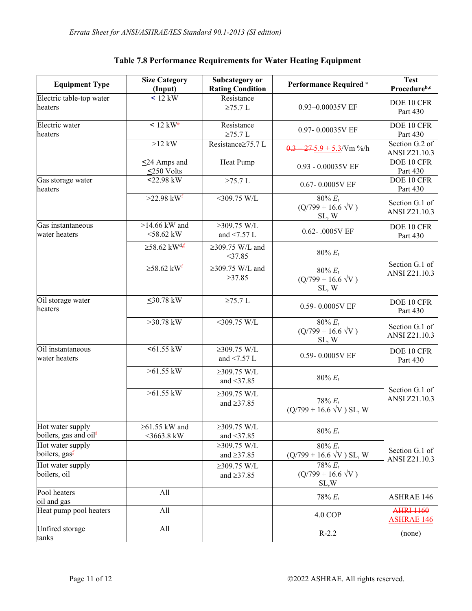| <b>Equipment Type</b>                                 | <b>Size Category</b><br>(Input)      | Subcategory or<br><b>Rating Condition</b> | Performance Required <sup>a</sup>                | <b>Test</b><br>Procedureb,c            |  |
|-------------------------------------------------------|--------------------------------------|-------------------------------------------|--------------------------------------------------|----------------------------------------|--|
| Electric table-top water<br>heaters                   | $\leq 12$ kW                         | Resistance<br>$\geq$ 75.7 L               | 0.93-0.00035V EF                                 | DOE 10 CFR<br>Part 430                 |  |
| Electric water<br>heaters                             | $< 12$ kW <sup>e</sup>               | Resistance<br>$\geq$ 75.7 L               | 0.97-0.00035V EF                                 | DOE 10 CFR<br>Part 430                 |  |
|                                                       | $>12$ kW                             | Resistance≥75.7 L                         | $0.3 + 27.5.9 + 5.3$ /Vm %/h                     | Section $G.2$ of<br>ANSI Z21.10.3      |  |
|                                                       | $\leq$ 24 Amps and<br><250 Volts     | Heat Pump                                 | 0.93 - 0.00035V EF                               | DOE 10 CFR<br>Part 430                 |  |
| Gas storage water<br>heaters                          | $22.98$ kW                           | $\geq$ 75.7 L                             | $0.67 - 0.0005V$ EF                              | DOE 10 CFR<br>Part 430                 |  |
|                                                       | $>22.98$ kW <sup>f</sup>             | $<$ 309.75 W/L                            | $80\% E_t$<br>$(Q/799 + 16.6 \sqrt{V})$<br>SL, W | Section G.1 of<br>ANSI Z21.10.3        |  |
| Gas instantaneous<br>water heaters                    | $>14.66$ kW and<br>$<$ 58.62 kW      | $≥309.75$ W/L<br>and $\leq$ 7.57 L        | 0.62-.0005V EF                                   | DOE 10 CFR<br>Part 430                 |  |
|                                                       | $\geq$ 58.62 kW <sup>d</sup> .f      | $\geq$ 309.75 W/L and<br>$<$ 37.85        | $80\% E_t$                                       |                                        |  |
|                                                       | $\geq$ 58.62 kW <sup>f</sup>         | $\geq$ 309.75 W/L and<br>$\geq 37.85$     | $80\% E_t$<br>$(Q/799 + 16.6 \sqrt{V})$<br>SL, W | Section G.1 of<br>ANSI Z21.10.3        |  |
| Oil storage water<br>heaters                          | $50.78$ kW                           | $\geq$ 75.7 L                             | 0.59-0.0005V EF                                  | DOE 10 CFR<br>Part 430                 |  |
|                                                       | $>30.78$ kW                          | $<$ 309.75 W/L                            | $80\% E_t$<br>$(Q/799 + 16.6 \sqrt{V})$<br>SL, W | Section G.1 of<br>ANSI Z21.10.3        |  |
| Oil instantaneous<br>water heaters                    | $55$ kW                              | $≥309.75$ W/L<br>and $\leq$ 7.57 L        | 0.59-0.0005V EF                                  | DOE 10 CFR<br>Part 430                 |  |
|                                                       | $>61.55$ kW                          | $≥309.75$ W/L<br>and $\leq$ 37.85         | $80\% E_t$                                       |                                        |  |
|                                                       | $>61.55$ kW                          | $≥309.75$ W/L<br>and $\geq$ 37.85         | $78% E_t$<br>$(Q/799 + 16.6 \sqrt{V})$ SL, W     | Section G.1 of<br>ANSI Z21.10.3        |  |
| Hot water supply<br>boilers, gas and oil <sup>f</sup> | $\geq 61.55$ kW and<br>$<$ 3663.8 kW | $≥309.75$ W/L<br>and $<$ 37.85            | $80\% E_t$                                       |                                        |  |
| Hot water supply<br>boilers, gas <sup>f</sup>         |                                      | $≥309.75$ W/L<br>and $\geq$ 37.85         | $80\% E_t$<br>$(Q/799 + 16.6 \sqrt{V})$ SL, W    | Section G.1 of<br><b>ANSI Z21.10.3</b> |  |
| Hot water supply<br>boilers, oil                      |                                      | $≥309.75$ W/L<br>and $\geq$ 37.85         | $78% E_t$<br>$(Q/799 + 16.6 \sqrt{V})$<br>SL,W   |                                        |  |
| Pool heaters<br>oil and gas                           | All                                  |                                           | $78% E_t$                                        | <b>ASHRAE 146</b>                      |  |
| Heat pump pool heaters                                | All                                  |                                           | <b>4.0 COP</b>                                   | <b>AHRI 1160</b><br><b>ASHRAE 146</b>  |  |
| Unfired storage<br>tanks                              | All                                  |                                           | $R-2.2$                                          | (none)                                 |  |

# **Table 7.8 Performance Requirements for Water Heating Equipment**